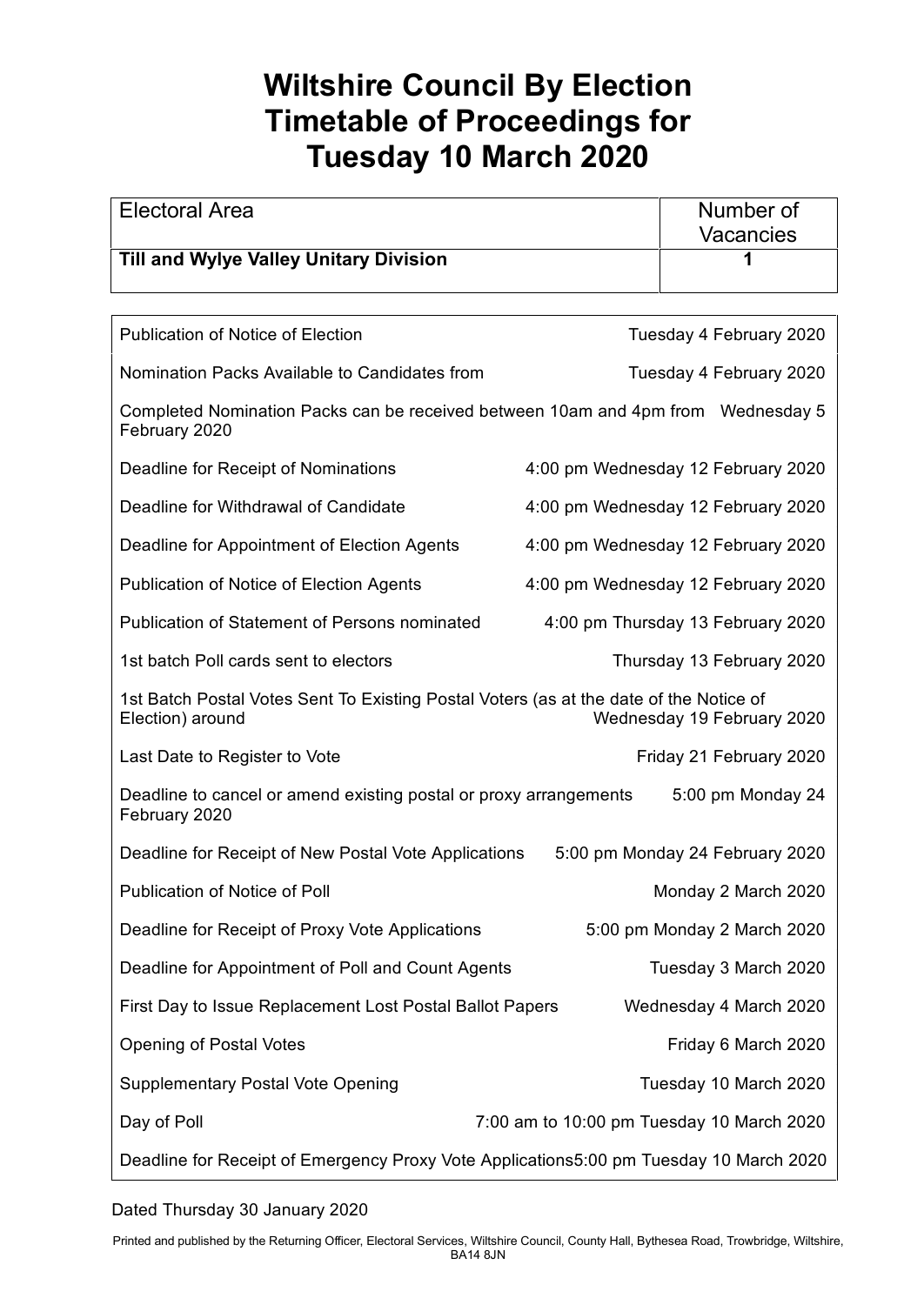## **Wiltshire Council By Election Timetable of Proceedings for Tuesday 10 March 2020**

| <b>Electoral Area</b>                                                                                                                    |  | Number of<br>Vacancies             |
|------------------------------------------------------------------------------------------------------------------------------------------|--|------------------------------------|
| <b>Till and Wylye Valley Unitary Division</b>                                                                                            |  |                                    |
|                                                                                                                                          |  |                                    |
| <b>Publication of Notice of Election</b><br>Tuesday 4 February 2020                                                                      |  |                                    |
| Nomination Packs Available to Candidates from<br>Tuesday 4 February 2020                                                                 |  |                                    |
| Completed Nomination Packs can be received between 10am and 4pm from Wednesday 5<br>February 2020                                        |  |                                    |
| Deadline for Receipt of Nominations                                                                                                      |  | 4:00 pm Wednesday 12 February 2020 |
| Deadline for Withdrawal of Candidate                                                                                                     |  | 4:00 pm Wednesday 12 February 2020 |
| Deadline for Appointment of Election Agents                                                                                              |  | 4:00 pm Wednesday 12 February 2020 |
| Publication of Notice of Election Agents                                                                                                 |  | 4:00 pm Wednesday 12 February 2020 |
| <b>Publication of Statement of Persons nominated</b>                                                                                     |  | 4:00 pm Thursday 13 February 2020  |
| 1st batch Poll cards sent to electors                                                                                                    |  | Thursday 13 February 2020          |
| 1st Batch Postal Votes Sent To Existing Postal Voters (as at the date of the Notice of<br>Election) around<br>Wednesday 19 February 2020 |  |                                    |
| Last Date to Register to Vote                                                                                                            |  | Friday 21 February 2020            |
| Deadline to cancel or amend existing postal or proxy arrangements<br>5:00 pm Monday 24<br>February 2020                                  |  |                                    |
| Deadline for Receipt of New Postal Vote Applications                                                                                     |  | 5:00 pm Monday 24 February 2020    |
| Publication of Notice of Poll                                                                                                            |  | Monday 2 March 2020                |
| Deadline for Receipt of Proxy Vote Applications                                                                                          |  | 5:00 pm Monday 2 March 2020        |
| Deadline for Appointment of Poll and Count Agents                                                                                        |  | Tuesday 3 March 2020               |
| First Day to Issue Replacement Lost Postal Ballot Papers<br>Wednesday 4 March 2020                                                       |  |                                    |
| <b>Opening of Postal Votes</b>                                                                                                           |  | Friday 6 March 2020                |
| <b>Supplementary Postal Vote Opening</b>                                                                                                 |  | Tuesday 10 March 2020              |
| Day of Poll<br>7:00 am to 10:00 pm Tuesday 10 March 2020                                                                                 |  |                                    |
| Deadline for Receipt of Emergency Proxy Vote Applications5:00 pm Tuesday 10 March 2020                                                   |  |                                    |

## Dated Thursday 30 January 2020